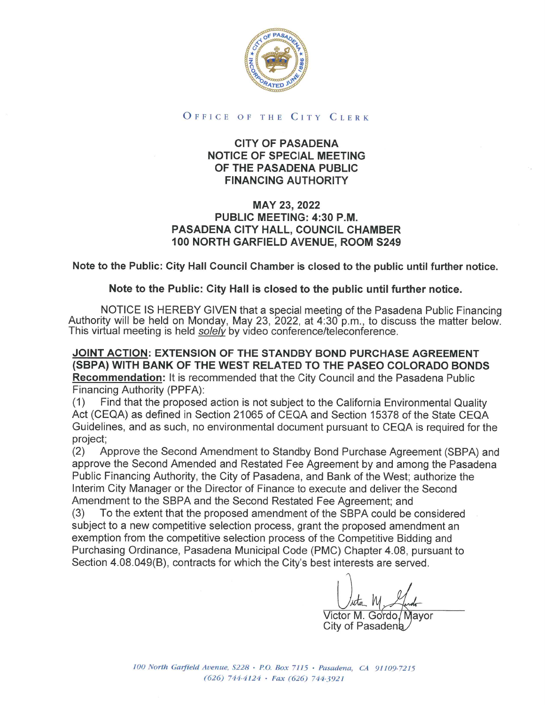

## OFFICE OF THE CITY CLERK

## CITY OF PASADENA NOTICE OF SPECIAL MEETING OF THE PASADENA PUBLIC FINANCING AUTHORITY

## MAY 23, 2022 PUBLIC MEETING: 4:30 P.M. PASADENA CITY HALL, COUNCIL CHAMBER 100 NORTH GARFIELD AVENUE, ROOM S249

Note to the Public: City Hall Council Chamber is closed to the public until further notice.

## Note to the Public: City Hall is closed to the public until further notice.

NOTICE IS HEREBY GIVEN that a special meeting of the Pasadena Public Financing<br>Authority will be held on Monday, May 23, 2022, at 4:30 p.m., to discuss the matter below.<br>This virtual meeting is held *solely* by video confe

JOINT ACTION: EXTENSION OF THE STANDBY BOND PURCHASE AGREEMENT (SBPA) WITH BANK OF THE WEST RELATED TO THE PASEO COLORADO BONDS Recommendation: It is recommended that the City Council and the Pasadena Public Financing Authority (PPFA):

(1) Find that the proposed action is not subject to the California Environmental Quality Act (CEQA) as defined in Section 21065 of CEQA and Section 15378 of the State CEQA Guidelines, and as such, no environmental document pursuant to CEQA is required for the project;

(2) Approve the Second Amendment to Standby Bond Purchase Agreement (SBPA) and approve the Second Amended and Restated Fee Agreement by and among the Pasadena Public Financing Authority, the City of Pasadena, and Bank of the West; authorize the Interim City Manager or the Director of Finance to execute and deliver the Second Amendment to the SBPA and the Second Restated Fee Agreement; and

(3) To the extent that the proposed amendment of the SBPA could be considered subject to a new competitive selection process, grant the proposed amendment an exemption from the competitive selection process of the Competitive Bidding and Purchasing Ordinance, Pasadena Municipal Code (PMC) Chapter 4.08, pursuant to Section 4.08.049(B), contracts for which the City's best interests are served.

 $\iota$ 

Victor M. Go'rdo/Mayor City of Pasadena

100 North Garfield Avenue, S228 • P.O. Box 7115 • Pasadena, CA 91109-7215 (626) 744-4124 • Fax (626) 744-3921